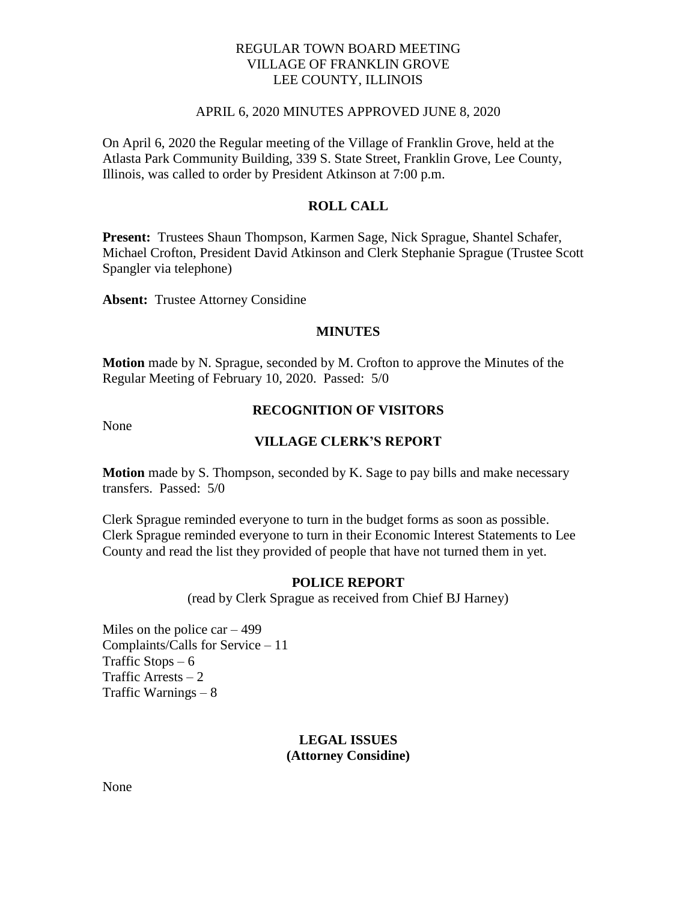## REGULAR TOWN BOARD MEETING VILLAGE OF FRANKLIN GROVE LEE COUNTY, ILLINOIS

#### APRIL 6, 2020 MINUTES APPROVED JUNE 8, 2020

On April 6, 2020 the Regular meeting of the Village of Franklin Grove, held at the Atlasta Park Community Building, 339 S. State Street, Franklin Grove, Lee County, Illinois, was called to order by President Atkinson at 7:00 p.m.

## **ROLL CALL**

**Present:** Trustees Shaun Thompson, Karmen Sage, Nick Sprague, Shantel Schafer, Michael Crofton, President David Atkinson and Clerk Stephanie Sprague (Trustee Scott Spangler via telephone)

**Absent:** Trustee Attorney Considine

#### **MINUTES**

**Motion** made by N. Sprague, seconded by M. Crofton to approve the Minutes of the Regular Meeting of February 10, 2020. Passed: 5/0

None

## **RECOGNITION OF VISITORS**

#### **VILLAGE CLERK'S REPORT**

**Motion** made by S. Thompson, seconded by K. Sage to pay bills and make necessary transfers. Passed: 5/0

Clerk Sprague reminded everyone to turn in the budget forms as soon as possible. Clerk Sprague reminded everyone to turn in their Economic Interest Statements to Lee County and read the list they provided of people that have not turned them in yet.

### **POLICE REPORT**

(read by Clerk Sprague as received from Chief BJ Harney)

Miles on the police  $car - 499$ Complaints/Calls for Service – 11 Traffic Stops  $-6$ Traffic Arrests  $-2$ Traffic Warnings – 8

## **LEGAL ISSUES (Attorney Considine)**

None